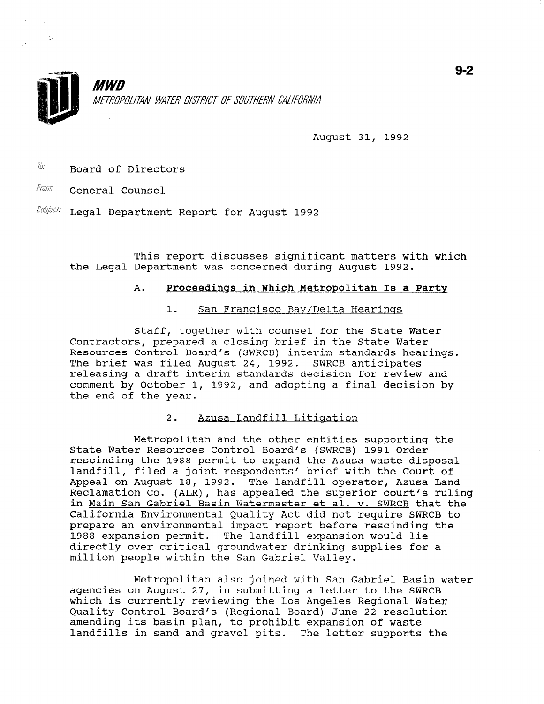

**MWD** METROPOLITAN WATER DISTRICT OF SOUTHERN CALIFORNIA

August 31, 1992

Ï0. Board of Directors

From: General Counsel

 $\textit{Subject:}$  Legal Department Report for August 1992

This report discusses significant matters with which the Legal Department was concerned during August 1992.

## A. Proceedinqs in Which Metropolitan Is a Party

## 1. San Francisco Bay/Delta Hearings

Staff, together with counsel for the State Water Contractors, prepared a closing brief in the State Water Resources Control Board's (SWRCB) interim standards hearings. The brief was filed August 24, 1992. SWRCB anticipates releasing a draft interim standards decision for review and comment by October 1, 1992, and adopting a final decision by the end of the year.

# 2. Azusa Landfill Litigation

Metropolitan and the other entities supporting the State Water Resources Control Board's (SWRCB) 1991 Order rescinding the 1988 permit to expand the Azusa waste disposal landfill, filed a joint respondents' brief with the Court of Appeal on August 18, 1992. The landfill operator, Azusa Land Reclamation Co. (ALR), has appealed the superior court's ruling in Main San Gabriel Basin Watermaster et al. v. SWRCB that the California Environmental Quality Act did not require SWRCB to prepare an environmental impact report before rescinding the 1988 expansion permit. The landfill expansion would lie directly over critical groundwater drinking supplies for a million people within the San Gabriel Valley.

Metropolitan also joined with San Gabriel Basin water agencies on August 27, in submitting a letter to the SWRCB agencies on August 27, in submitting a letter to the SWRCB<br>which is currently regional Water Los Angeles Regional Water which is currently reviewing the Los Angeles Regional wa<br>Quality Control Board's (Boairmal Board) June 20 resoluti Quality Control Board's (Regional Board) June 22 resolution amending its basin plan, to prohibit expansion of waste<br>landfills in sand and gravel pits. The letter supports the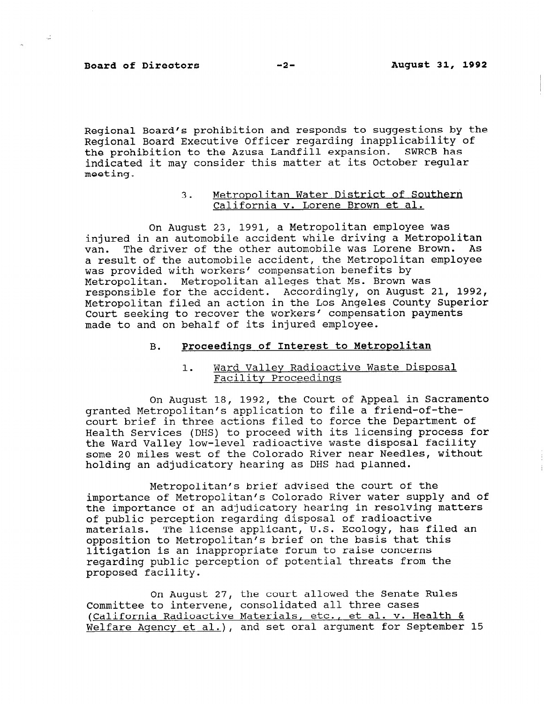$\sim$ 

Regional Board's prohibition and responds to suggestions by the Regional Board Executive Officer regarding inapplicability of the prohibition to the Azusa Landfill expansion. SWRCB has indicated it may consider this matter at its October regular meeting.

## 3. Metropolitan Water District of Southern California v. Lorene Brown et al.

On August 23, 1991, a Metropolitan employee was injured in an automobile accident while driving a Metropolitan van. The driver of the other automobile was Lorene Brown. As a result of the automobile accident, the Metropolitan employee was provided with workers' compensation benefits by Metropolitan. Metropolitan alleges that Ms. Brown was responsible for the accident. Accordingly, on August 21, 1992, Metropolitan filed an action in the Los Angeles County Superior Court seeking to recover the workers' compensation payment made to and on behalf of its injured employee.

### B. Proceedings of Interest to Metropolitan

# 1. Ward Valley Radioactive Waste Disposal Facility Proceedings

On August 18, 1992, the Court of Appeal in Sacramento granted Metropolitan's application to file a friend-of-thecourt brief in three actions filed to force the Department of Health Services (DHS) to proceed with its licensing process for the Ward Valley low-level radioactive waste disposal facility some 20 miles west of the Colorado River near Needles, without holding an adjudicatory hearing as DHS had planned.

Metropolitan's brief advised the court of the importance of Metropolitan's Colorado River water supply and of the importance of an adjudicatory hearing in resolving matters of public perception regarding disposal of radioactive materials. The license applicant, U.S. Ecology, has filed an materials. The ficense appricant, 0.5. hoofogy, has fill<br>expection to Metropolitan's brief on the basis that thi litigation is an inappropriate forum to raise concerns regarding public perception of potential threats from the regaruing publ

On August 27, the court allowed the Senate Rules Committee to intervene, consolidated all three cases COMMILLEE LO INTERVENE, CONSOLIDATED ALL THREE CASES (California Raufoactive Materials, etc., et al. v. nealth &